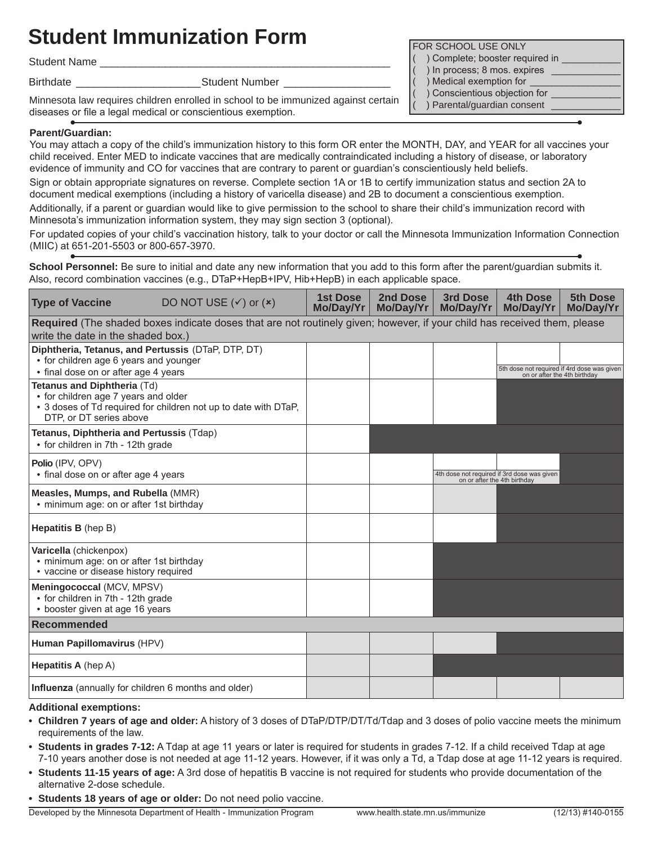# **Student Immunization Form Form Form Form FOR SCHOOL USE ONLY**

Student Name

Birthdate \_\_\_\_\_\_\_\_\_\_\_\_\_\_\_\_\_\_\_\_\_Student Number \_\_\_\_\_\_\_\_\_\_\_\_\_\_\_\_\_\_

Minnesota law requires children enrolled in school to be immunized against certain diseases or file a legal medical or conscientious exemption.

## **Parent/Guardian:**

You may attach a copy of the child's immunization history to this form OR enter the MONTH, DAY, and YEAR for all vaccines your child received. Enter MED to indicate vaccines that are medically contraindicated including a history of disease, or laboratory evidence of immunity and CO for vaccines that are contrary to parent or guardian's conscientiously held beliefs.

Sign or obtain appropriate signatures on reverse. Complete section 1A or 1B to certify immunization status and section 2A to document medical exemptions (including a history of varicella disease) and 2B to document a conscientious exemption.

Additionally, if a parent or guardian would like to give permission to the school to share their child's immunization record with Minnesota's immunization information system, they may sign section 3 (optional).

For updated copies of your child's vaccination history, talk to your doctor or call the Minnesota Immunization Information Connection (MIIC) at 651-201-5503 or 800-657-3970.

**School Personnel:** Be sure to initial and date any new information that you add to this form after the parent/guardian submits it. Also, record combination vaccines (e.g., DTaP+HepB+IPV, Hib+HepB) in each applicable space.

| <b>Type of Vaccine</b>                                                                                                                                            | DO NOT USE $({\checkmark})$ or $({\check{\star}})$ | <b>1st Dose</b><br>Mo/Day/Yr | 2nd Dose<br>Mo/Day/Yr | 3rd Dose<br>Mo/Day/Yr        | <b>4th Dose</b><br>Mo/Day/Yr                                                | 5th Dose<br>Mo/Day/Yr |
|-------------------------------------------------------------------------------------------------------------------------------------------------------------------|----------------------------------------------------|------------------------------|-----------------------|------------------------------|-----------------------------------------------------------------------------|-----------------------|
| Required (The shaded boxes indicate doses that are not routinely given; however, if your child has received them, please<br>write the date in the shaded box.)    |                                                    |                              |                       |                              |                                                                             |                       |
| Diphtheria, Tetanus, and Pertussis (DTaP, DTP, DT)<br>• for children age 6 years and younger<br>• final dose on or after age 4 years                              |                                                    |                              |                       |                              | 5th dose not required if 4rd dose was given<br>on or after the 4th birthday |                       |
| Tetanus and Diphtheria (Td)<br>• for children age 7 years and older<br>• 3 doses of Td required for children not up to date with DTaP,<br>DTP, or DT series above |                                                    |                              |                       |                              |                                                                             |                       |
| Tetanus, Diphtheria and Pertussis (Tdap)<br>• for children in 7th - 12th grade                                                                                    |                                                    |                              |                       |                              |                                                                             |                       |
| Polio (IPV, OPV)<br>• final dose on or after age 4 years                                                                                                          |                                                    |                              |                       | on or after the 4th birthday | 4th dose not required if 3rd dose was given                                 |                       |
| Measles, Mumps, and Rubella (MMR)<br>• minimum age: on or after 1st birthday                                                                                      |                                                    |                              |                       |                              |                                                                             |                       |
| <b>Hepatitis B</b> (hep B)                                                                                                                                        |                                                    |                              |                       |                              |                                                                             |                       |
| Varicella (chickenpox)<br>· minimum age: on or after 1st birthday<br>• vaccine or disease history required                                                        |                                                    |                              |                       |                              |                                                                             |                       |
| Meningococcal (MCV, MPSV)<br>• for children in 7th - 12th grade<br>• booster given at age 16 years                                                                |                                                    |                              |                       |                              |                                                                             |                       |
| Recommended                                                                                                                                                       |                                                    |                              |                       |                              |                                                                             |                       |
| Human Papillomavirus (HPV)                                                                                                                                        |                                                    |                              |                       |                              |                                                                             |                       |
| <b>Hepatitis A</b> (hep A)                                                                                                                                        |                                                    |                              |                       |                              |                                                                             |                       |
| Influenza (annually for children 6 months and older)                                                                                                              |                                                    |                              |                       |                              |                                                                             |                       |

### **Additional exemptions:**

- **• Children 7 years of age and older:** A history of 3 doses of DTaP/DTP/DT/Td/Tdap and 3 doses of polio vaccine meets the minimum requirements of the law.
- **• Students in grades 7-12:** A Tdap at age 11 years or later is required for students in grades 7-12. If a child received Tdap at age 7-10 years another dose is not needed at age 11-12 years. However, if it was only a Td, a Tdap dose at age 11-12 years is required.
- **• Students 11-15 years of age:** A 3rd dose of hepatitis B vaccine is not required for students who provide documentation of the alternative 2-dose schedule.
- **• Students 18 years of age or older:** Do not need polio vaccine.

Developed by the Minnesota Department of Health - Immunization Program www.health.state.mn.us/immunize (12/13) #140-0155

- ) Complete; booster required in
- ) In process; 8 mos. expires \_
- ) Medical exemption for
- ( ) Conscientious objection for \_\_\_\_\_\_\_\_\_\_\_\_\_ ) Parental/guardian consent